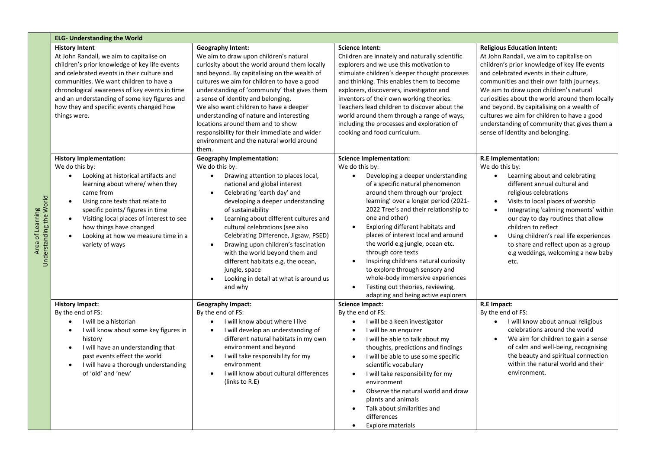|                                             | <b>ELG- Understanding the World</b>                                                                                                                                                                                                                                                                                                                                       |                                                                                                                                                                                                                                                                                                                                                                                                                                                                                                                                                                    |                                                                                                                                                                                                                                                                                                                                                                                                                                                                                                                                                                                                               |                                                                                                                                                                                                                                                                                                                                                                                                                                                                                                       |  |
|---------------------------------------------|---------------------------------------------------------------------------------------------------------------------------------------------------------------------------------------------------------------------------------------------------------------------------------------------------------------------------------------------------------------------------|--------------------------------------------------------------------------------------------------------------------------------------------------------------------------------------------------------------------------------------------------------------------------------------------------------------------------------------------------------------------------------------------------------------------------------------------------------------------------------------------------------------------------------------------------------------------|---------------------------------------------------------------------------------------------------------------------------------------------------------------------------------------------------------------------------------------------------------------------------------------------------------------------------------------------------------------------------------------------------------------------------------------------------------------------------------------------------------------------------------------------------------------------------------------------------------------|-------------------------------------------------------------------------------------------------------------------------------------------------------------------------------------------------------------------------------------------------------------------------------------------------------------------------------------------------------------------------------------------------------------------------------------------------------------------------------------------------------|--|
|                                             | <b>History Intent</b><br>At John Randall, we aim to capitalise on<br>children's prior knowledge of key life events<br>and celebrated events in their culture and<br>communities. We want children to have a<br>chronological awareness of key events in time<br>and an understanding of some key figures and<br>how they and specific events changed how<br>things were.  | <b>Geography Intent:</b><br>We aim to draw upon children's natural<br>curiosity about the world around them locally<br>and beyond. By capitalising on the wealth of<br>cultures we aim for children to have a good<br>understanding of 'community' that gives them<br>a sense of identity and belonging.<br>We also want children to have a deeper<br>understanding of nature and interesting<br>locations around them and to show<br>responsibility for their immediate and wider<br>environment and the natural world around<br>them.                            | <b>Science Intent:</b><br>Children are innately and naturally scientific<br>explorers and we use this motivation to<br>stimulate children's deeper thought processes<br>and thinking. This enables them to become<br>explorers, discoverers, investigator and<br>inventors of their own working theories.<br>Teachers lead children to discover about the<br>world around them through a range of ways,<br>including the processes and exploration of<br>cooking and food curriculum.                                                                                                                         | <b>Religious Education Intent:</b><br>At John Randall, we aim to capitalise on<br>children's prior knowledge of key life events<br>and celebrated events in their culture,<br>communities and their own faith journeys.<br>We aim to draw upon children's natural<br>curiosities about the world around them locally<br>and beyond. By capitalising on a wealth of<br>cultures we aim for children to have a good<br>understanding of community that gives them a<br>sense of identity and belonging. |  |
| Understanding the World<br>Area of Learning | <b>History Implementation:</b><br>We do this by:<br>Looking at historical artifacts and<br>$\bullet$<br>learning about where/ when they<br>came from<br>Using core texts that relate to<br>specific points/ figures in time<br>Visiting local places of interest to see<br>$\bullet$<br>how things have changed<br>Looking at how we measure time in a<br>variety of ways | <b>Geography Implementation:</b><br>We do this by:<br>Drawing attention to places local,<br>$\bullet$<br>national and global interest<br>Celebrating 'earth day' and<br>$\bullet$<br>developing a deeper understanding<br>of sustainability<br>Learning about different cultures and<br>$\bullet$<br>cultural celebrations (see also<br>Celebrating Difference, Jigsaw, PSED)<br>Drawing upon children's fascination<br>with the world beyond them and<br>different habitats e.g. the ocean,<br>jungle, space<br>Looking in detail at what is around us<br>and why | <b>Science Implementation:</b><br>We do this by:<br>Developing a deeper understanding<br>of a specific natural phenomenon<br>around them through our 'project<br>learning' over a longer period (2021-<br>2022 Tree's and their relationship to<br>one and other)<br>Exploring different habitats and<br>$\bullet$<br>places of interest local and around<br>the world e.g jungle, ocean etc.<br>through core texts<br>Inspiring childrens natural curiosity<br>to explore through sensory and<br>whole-body immersive experiences<br>Testing out theories, reviewing,<br>adapting and being active explorers | <b>R.E</b> Implementation:<br>We do this by:<br>Learning about and celebrating<br>$\bullet$<br>different annual cultural and<br>religious celebrations<br>Visits to local places of worship<br>Integrating 'calming moments' within<br>our day to day routines that allow<br>children to reflect<br>Using children's real life experiences<br>to share and reflect upon as a group<br>e.g weddings, welcoming a new baby<br>etc.                                                                      |  |
|                                             | <b>History Impact:</b><br>By the end of FS:<br>I will be a historian<br>I will know about some key figures in<br>history<br>I will have an understanding that<br>past events effect the world<br>I will have a thorough understanding<br>$\bullet$<br>of 'old' and 'new'                                                                                                  | <b>Geography Impact:</b><br>By the end of FS:<br>I will know about where I live<br>$\bullet$<br>I will develop an understanding of<br>$\bullet$<br>different natural habitats in my own<br>environment and beyond<br>I will take responsibility for my<br>$\bullet$<br>environment<br>I will know about cultural differences<br>(links to R.E)                                                                                                                                                                                                                     | <b>Science Impact:</b><br>By the end of FS:<br>I will be a keen investigator<br>I will be an enquirer<br>I will be able to talk about my<br>$\bullet$<br>thoughts, predictions and findings<br>I will be able to use some specific<br>$\bullet$<br>scientific vocabulary<br>I will take responsibility for my<br>$\bullet$<br>environment<br>Observe the natural world and draw<br>$\bullet$<br>plants and animals<br>Talk about similarities and<br>$\bullet$<br>differences<br>Explore materials<br>$\bullet$                                                                                               | R.E Impact:<br>By the end of FS:<br>I will know about annual religious<br>celebrations around the world<br>We aim for children to gain a sense<br>$\bullet$<br>of calm and well-being, recognising<br>the beauty and spiritual connection<br>within the natural world and their<br>environment.                                                                                                                                                                                                       |  |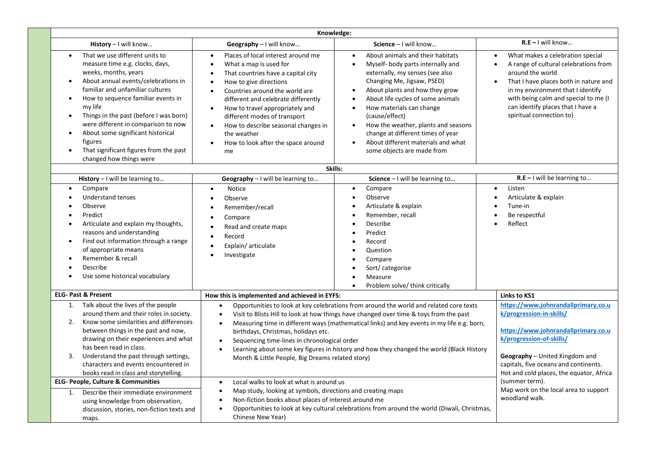| Knowledge:                                                                                                                                                                                                                                                                                                                                                                                                                  |                                                                                                                                                                                                                                                                                                                                                                                                                                                                                                                                                              |                                                                                                                                                                                                                                                                                                                                                                                                                                                                                           |                                                                                                                                                                                                                                                                                                                             |
|-----------------------------------------------------------------------------------------------------------------------------------------------------------------------------------------------------------------------------------------------------------------------------------------------------------------------------------------------------------------------------------------------------------------------------|--------------------------------------------------------------------------------------------------------------------------------------------------------------------------------------------------------------------------------------------------------------------------------------------------------------------------------------------------------------------------------------------------------------------------------------------------------------------------------------------------------------------------------------------------------------|-------------------------------------------------------------------------------------------------------------------------------------------------------------------------------------------------------------------------------------------------------------------------------------------------------------------------------------------------------------------------------------------------------------------------------------------------------------------------------------------|-----------------------------------------------------------------------------------------------------------------------------------------------------------------------------------------------------------------------------------------------------------------------------------------------------------------------------|
| History - I will know                                                                                                                                                                                                                                                                                                                                                                                                       | Geography - I will know                                                                                                                                                                                                                                                                                                                                                                                                                                                                                                                                      | Science - I will know                                                                                                                                                                                                                                                                                                                                                                                                                                                                     | $R.E - I will know$                                                                                                                                                                                                                                                                                                         |
| That we use different units to<br>measure time e.g. clocks, days,<br>weeks, months, years<br>About annual events/celebrations in<br>familiar and unfamiliar cultures<br>How to sequence familiar events in<br>my life<br>Things in the past (before I was born)<br>were different in comparison to now<br>About some significant historical<br>figures<br>That significant figures from the past<br>changed how things were | Places of local interest around me<br>$\bullet$<br>What a map is used for<br>That countries have a capital city<br>How to give directions<br>Countries around the world are<br>different and celebrate differently<br>How to travel appropriately and<br>$\bullet$<br>different modes of transport<br>How to describe seasonal changes in<br>$\bullet$<br>the weather<br>How to look after the space around<br>$\bullet$<br>me                                                                                                                               | About animals and their habitats<br>$\bullet$<br>Myself- body parts internally and<br>externally, my senses (see also<br>Changing Me, Jigsaw, PSED)<br>About plants and how they grow<br>$\bullet$<br>About life cycles of some animals<br>$\bullet$<br>How materials can change<br>$\bullet$<br>(cause/effect)<br>How the weather, plants and seasons<br>$\bullet$<br>change at different times of year<br>About different materials and what<br>$\bullet$<br>some objects are made from | What makes a celebration special<br>$\bullet$<br>A range of cultural celebrations from<br>$\bullet$<br>around the world<br>That I have places both in nature and<br>$\bullet$<br>in my environment that I identify<br>with being calm and special to me (I<br>can identify places that I have a<br>spiritual connection to) |
|                                                                                                                                                                                                                                                                                                                                                                                                                             | Skills:                                                                                                                                                                                                                                                                                                                                                                                                                                                                                                                                                      |                                                                                                                                                                                                                                                                                                                                                                                                                                                                                           |                                                                                                                                                                                                                                                                                                                             |
| History - I will be learning to                                                                                                                                                                                                                                                                                                                                                                                             | Geography - I will be learning to                                                                                                                                                                                                                                                                                                                                                                                                                                                                                                                            | Science $-1$ will be learning to                                                                                                                                                                                                                                                                                                                                                                                                                                                          | $R.E - I$ will be learning to                                                                                                                                                                                                                                                                                               |
| Compare<br><b>Understand tenses</b><br>Observe<br>Predict<br>Articulate and explain my thoughts,<br>reasons and understanding<br>Find out information through a range<br>of appropriate means<br>Remember & recall<br>Describe<br>Use some historical vocabulary                                                                                                                                                            | <b>Notice</b><br>$\bullet$<br>Observe<br>Remember/recall<br>Compare<br>Read and create maps<br>Record<br>Explain/articulate<br>Investigate                                                                                                                                                                                                                                                                                                                                                                                                                   | Compare<br>$\bullet$<br>Observe<br>$\bullet$<br>Articulate & explain<br>Remember, recall<br>Describe<br>Predict<br>Record<br>Question<br>Compare<br>Sort/categorise<br>Measure<br>$\bullet$<br>Problem solve/ think critically<br>$\bullet$                                                                                                                                                                                                                                               | Listen<br>$\bullet$<br>Articulate & explain<br>$\bullet$<br>Tune-in<br>Be respectful<br>Reflect                                                                                                                                                                                                                             |
| <b>ELG- Past &amp; Present</b>                                                                                                                                                                                                                                                                                                                                                                                              | How this is implemented and achieved in EYFS:                                                                                                                                                                                                                                                                                                                                                                                                                                                                                                                |                                                                                                                                                                                                                                                                                                                                                                                                                                                                                           | <b>Links to KS1</b>                                                                                                                                                                                                                                                                                                         |
| 1. Talk about the lives of the people<br>around them and their roles in society.<br>Know some similarities and differences<br>2.<br>between things in the past and now,<br>drawing on their experiences and what<br>has been read in class.<br>Understand the past through settings,<br>3.<br>characters and events encountered in<br>books read in class and storytelling.                                                 | Opportunities to look at key celebrations from around the world and related core texts<br>$\bullet$<br>Visit to Blists Hill to look at how things have changed over time & toys from the past<br>$\bullet$<br>Measuring time in different ways (mathematical links) and key events in my life e.g. born,<br>$\bullet$<br>birthdays, Christmas, holidays etc.<br>Sequencing time-lines in chronological order<br>Learning about some key figures in history and how they changed the world (Black History<br>Month & Little People, Big Dreams related story) |                                                                                                                                                                                                                                                                                                                                                                                                                                                                                           | https://www.johnrandallprimary.co.u<br>k/progression-in-skills/<br>https://www.johnrandallprimary.co.u<br>k/progression-of-skills/<br>Geography - United Kingdom and<br>capitals, five oceans and continents.<br>Hot and cold places, the equator, Africa                                                                   |
| <b>ELG- People, Culture &amp; Communities</b>                                                                                                                                                                                                                                                                                                                                                                               | Local walks to look at what is around us<br>$\bullet$                                                                                                                                                                                                                                                                                                                                                                                                                                                                                                        |                                                                                                                                                                                                                                                                                                                                                                                                                                                                                           | (summer term).                                                                                                                                                                                                                                                                                                              |
| Map study, looking at symbols, directions and creating maps<br>$\bullet$<br>Describe their immediate environment<br>1.<br>Non-fiction books about places of interest around me<br>using knowledge from observation,<br>Opportunities to look at key cultural celebrations from around the world (Diwali, Christmas,<br>discussion, stories, non-fiction texts and<br>Chinese New Year)<br>maps.                             |                                                                                                                                                                                                                                                                                                                                                                                                                                                                                                                                                              | Map work on the local area to support<br>woodland walk.                                                                                                                                                                                                                                                                                                                                                                                                                                   |                                                                                                                                                                                                                                                                                                                             |